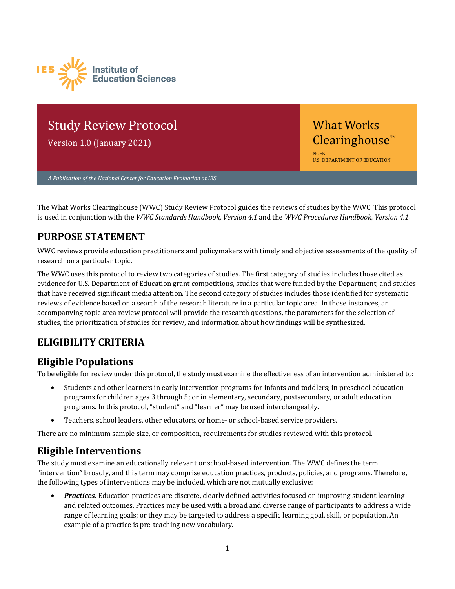

# Study Review Protocol

Version 1.0 (January 2021)

NCEE U.S. DEPARTMENT OF EDUCATION What Works  $C$ learinghouse<sup>™</sup>

*A Publication of the National Center for Education Evaluation at IES* 

The What Works Clearinghouse (WWC) Study Review Protocol guides the reviews of studies by the WWC. This protocol is used in conjunction with the *WWC Standards Handbook, Version 4.1* and the *WWC Procedures Handbook, Version 4.1.*

### **PURPOSE STATEMENT**

WWC reviews provide education practitioners and policymakers with timely and objective assessments of the quality of research on a particular topic.

The WWC uses this protocol to review two categories of studies. The first category of studies includes those cited as evidence for U.S. Department of Education grant competitions, studies that were funded by the Department, and studies that have received significant media attention. The second category of studies includes those identified for systematic reviews of evidence based on a search of the research literature in a particular topic area. In those instances, an accompanying topic area review protocol will provide the research questions, the parameters for the selection of studies, the prioritization of studies for review, and information about how findings will be synthesized.

# **ELIGIBILITY CRITERIA**

### **Eligible Populations**

To be eligible for review under this protocol, the study must examine the effectiveness of an intervention administered to:

- Students and other learners in early intervention programs for infants and toddlers; in preschool education programs for children ages 3 through 5; or in elementary, secondary, postsecondary, or adult education programs. In this protocol, "student" and "learner" may be used interchangeably.
- Teachers, school leaders, other educators, or home- or school-based service providers.

There are no minimum sample size, or composition, requirements for studies reviewed with this protocol.

### **Eligible Interventions**

The study must examine an educationally relevant or school-based intervention. The WWC defines the term "intervention" broadly, and this term may comprise education practices, products, policies, and programs. Therefore, the following types of interventions may be included, which are not mutually exclusive:

• *Practices.* Education practices are discrete, clearly defined activities focused on improving student learning and related outcomes. Practices may be used with a broad and diverse range of participants to address a wide range of learning goals; or they may be targeted to address a specific learning goal, skill, or population. An example of a practice is pre-teaching new vocabulary.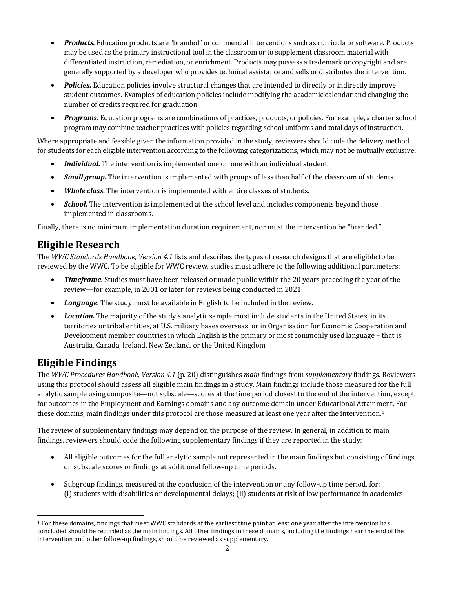- *Products.* Education products are "branded" or commercial interventions such as curricula or software. Products may be used as the primary instructional tool in the classroom or to supplement classroom material with differentiated instruction, remediation, or enrichment. Products may possess a trademark or copyright and are generally supported by a developer who provides technical assistance and sells or distributes the intervention.
- *Policies.* Education policies involve structural changes that are intended to directly or indirectly improve student outcomes. Examples of education policies include modifying the academic calendar and changing the number of credits required for graduation.
- *Programs.* Education programs are combinations of practices, products, or policies. For example, a charter school program may combine teacher practices with policies regarding school uniforms and total days of instruction.

Where appropriate and feasible given the information provided in the study, reviewers should code the delivery method for students for each eligible intervention according to the following categorizations, which may not be mutually exclusive:

- *Individual.* The intervention is implemented one on one with an individual student.
- *Small group.* The intervention is implemented with groups of less than half of the classroom of students.
- *Whole class.* The intervention is implemented with entire classes of students.
- *School.* The intervention is implemented at the school level and includes components beyond those implemented in classrooms.

Finally, there is no minimum implementation duration requirement, nor must the intervention be "branded."

### **Eligible Research**

The *WWC Standards Handbook, Version 4.1* lists and describes the types of research designs that are eligible to be reviewed by the WWC. To be eligible for WWC review, studies must adhere to the following additional parameters:

- *Timeframe.* Studies must have been released or made public within the 20 years preceding the year of the review—for example, in 2001 or later for reviews being conducted in 2021.
- *Language.* The study must be available in English to be included in the review.
- *Location.* The majority of the study's analytic sample must include students in the United States, in its territories or tribal entities, at U.S. military bases overseas, or in Organisation for Economic Cooperation and Development member countries in which English is the primary or most commonly used language – that is, Australia, Canada, Ireland, New Zealand, or the United Kingdom.

### **Eligible Findings**

The *WWC Procedures Handbook, Version 4.1* (p. 20) distinguishes *main* findings from *supplementary* findings. Reviewers using this protocol should assess all eligible main findings in a study. Main findings include those measured for the full analytic sample using composite—not subscale—scores at the time period closest to the end of the intervention, except for outcomes in the Employment and Earnings domains and any outcome domain under Educational Attainment. For these domains, main findings under this protocol are those measured at least one year after the intervention.<sup>1</sup>

The review of supplementary findings may depend on the purpose of the review. In general, in addition to main findings, reviewers should code the following supplementary findings if they are reported in the study:

- All eligible outcomes for the full analytic sample not represented in the main findings but consisting of findings on subscale scores or findings at additional follow-up time periods.
- Subgroup findings, measured at the conclusion of the intervention or any follow-up time period, for: (i) students with disabilities or developmental delays; (ii) students at risk of low performance in academics

<span id="page-1-0"></span><sup>1</sup> For these domains, findings that meet WWC standards at the earliest time point at least one year after the intervention has concluded should be recorded as the main findings. All other findings in these domains, including the findings near the end of the intervention and other follow-up findings, should be reviewed as supplementary.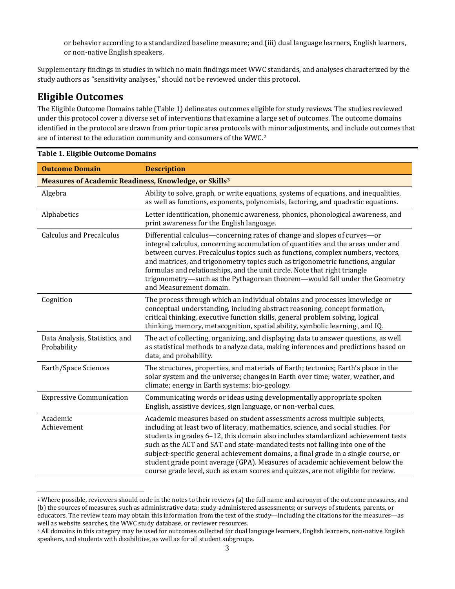or behavior according to a standardized baseline measure; and (iii) dual language learners, English learners, or non-native English speakers.

Supplementary findings in studies in which no main findings meet WWC standards, and analyses characterized by the study authors as "sensitivity analyses," should not be reviewed under this protocol.

### **Eligible Outcomes**

The Eligible Outcome Domains table (Table 1) delineates outcomes eligible for study reviews. The studies reviewed under this protocol cover a diverse set of interventions that examine a large set of outcomes. The outcome domains identified in the protocol are drawn from prior topic area protocols with minor adjustments, and include outcomes that are of interest to the education community and consumers of the WWC.[2](#page-2-0) 

| <b>Outcome Domain</b>                                             | <b>Description</b>                                                                                                                                                                                                                                                                                                                                                                                                                                                                                                                                                                             |  |
|-------------------------------------------------------------------|------------------------------------------------------------------------------------------------------------------------------------------------------------------------------------------------------------------------------------------------------------------------------------------------------------------------------------------------------------------------------------------------------------------------------------------------------------------------------------------------------------------------------------------------------------------------------------------------|--|
| Measures of Academic Readiness, Knowledge, or Skills <sup>3</sup> |                                                                                                                                                                                                                                                                                                                                                                                                                                                                                                                                                                                                |  |
| Algebra                                                           | Ability to solve, graph, or write equations, systems of equations, and inequalities,<br>as well as functions, exponents, polynomials, factoring, and quadratic equations.                                                                                                                                                                                                                                                                                                                                                                                                                      |  |
| Alphabetics                                                       | Letter identification, phonemic awareness, phonics, phonological awareness, and<br>print awareness for the English language.                                                                                                                                                                                                                                                                                                                                                                                                                                                                   |  |
| <b>Calculus and Precalculus</b>                                   | Differential calculus-concerning rates of change and slopes of curves-or<br>integral calculus, concerning accumulation of quantities and the areas under and<br>between curves. Precalculus topics such as functions, complex numbers, vectors,<br>and matrices, and trigonometry topics such as trigonometric functions, angular<br>formulas and relationships, and the unit circle. Note that right triangle<br>trigonometry-such as the Pythagorean theorem-would fall under the Geometry<br>and Measurement domain.                                                                        |  |
| Cognition                                                         | The process through which an individual obtains and processes knowledge or<br>conceptual understanding, including abstract reasoning, concept formation,<br>critical thinking, executive function skills, general problem solving, logical<br>thinking, memory, metacognition, spatial ability, symbolic learning, and IQ.                                                                                                                                                                                                                                                                     |  |
| Data Analysis, Statistics, and<br>Probability                     | The act of collecting, organizing, and displaying data to answer questions, as well<br>as statistical methods to analyze data, making inferences and predictions based on<br>data, and probability.                                                                                                                                                                                                                                                                                                                                                                                            |  |
| Earth/Space Sciences                                              | The structures, properties, and materials of Earth; tectonics; Earth's place in the<br>solar system and the universe; changes in Earth over time; water, weather, and<br>climate; energy in Earth systems; bio-geology.                                                                                                                                                                                                                                                                                                                                                                        |  |
| <b>Expressive Communication</b>                                   | Communicating words or ideas using developmentally appropriate spoken<br>English, assistive devices, sign language, or non-verbal cues.                                                                                                                                                                                                                                                                                                                                                                                                                                                        |  |
| Academic<br>Achievement                                           | Academic measures based on student assessments across multiple subjects,<br>including at least two of literacy, mathematics, science, and social studies. For<br>students in grades 6-12, this domain also includes standardized achievement tests<br>such as the ACT and SAT and state-mandated tests not falling into one of the<br>subject-specific general achievement domains, a final grade in a single course, or<br>student grade point average (GPA). Measures of academic achievement below the<br>course grade level, such as exam scores and quizzes, are not eligible for review. |  |

<span id="page-2-0"></span><sup>&</sup>lt;sup>2</sup> Where possible, reviewers should code in the notes to their reviews (a) the full name and acronym of the outcome measures, and (b) the sources of measures, such as administrative data; study-administered assessments; or surveys of students, parents, or educators. The review team may obtain this information from the text of the study—including the citations for the measures—as well as website searches, the WWC study database, or reviewer resources.

<span id="page-2-1"></span><sup>&</sup>lt;sup>3</sup> All domains in this category may be used for outcomes collected for dual language learners, English learners, non-native English speakers, and students with disabilities, as well as for all student subgroups.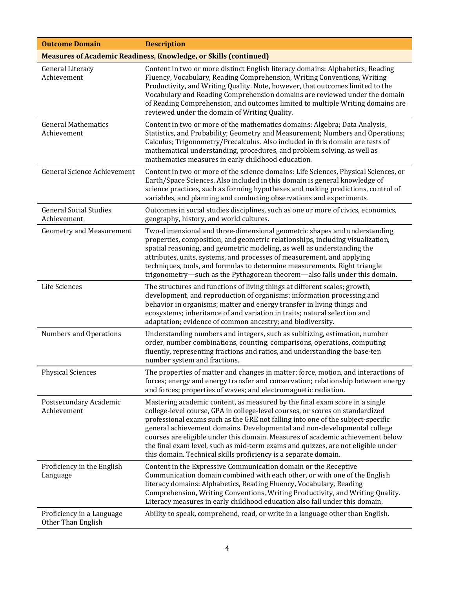| <b>Outcome Domain</b>                           | <b>Description</b>                                                                                                                                                                                                                                                                                                                                                                                                                                                                                                                                                   |
|-------------------------------------------------|----------------------------------------------------------------------------------------------------------------------------------------------------------------------------------------------------------------------------------------------------------------------------------------------------------------------------------------------------------------------------------------------------------------------------------------------------------------------------------------------------------------------------------------------------------------------|
|                                                 | <b>Measures of Academic Readiness, Knowledge, or Skills (continued)</b>                                                                                                                                                                                                                                                                                                                                                                                                                                                                                              |
| General Literacy<br>Achievement                 | Content in two or more distinct English literacy domains: Alphabetics, Reading<br>Fluency, Vocabulary, Reading Comprehension, Writing Conventions, Writing<br>Productivity, and Writing Quality. Note, however, that outcomes limited to the<br>Vocabulary and Reading Comprehension domains are reviewed under the domain<br>of Reading Comprehension, and outcomes limited to multiple Writing domains are<br>reviewed under the domain of Writing Quality.                                                                                                        |
| <b>General Mathematics</b><br>Achievement       | Content in two or more of the mathematics domains: Algebra; Data Analysis,<br>Statistics, and Probability; Geometry and Measurement; Numbers and Operations;<br>Calculus; Trigonometry/Precalculus. Also included in this domain are tests of<br>mathematical understanding, procedures, and problem solving, as well as<br>mathematics measures in early childhood education.                                                                                                                                                                                       |
| <b>General Science Achievement</b>              | Content in two or more of the science domains: Life Sciences, Physical Sciences, or<br>Earth/Space Sciences. Also included in this domain is general knowledge of<br>science practices, such as forming hypotheses and making predictions, control of<br>variables, and planning and conducting observations and experiments.                                                                                                                                                                                                                                        |
| <b>General Social Studies</b><br>Achievement    | Outcomes in social studies disciplines, such as one or more of civics, economics,<br>geography, history, and world cultures.                                                                                                                                                                                                                                                                                                                                                                                                                                         |
| <b>Geometry and Measurement</b>                 | Two-dimensional and three-dimensional geometric shapes and understanding<br>properties, composition, and geometric relationships, including visualization,<br>spatial reasoning, and geometric modeling, as well as understanding the<br>attributes, units, systems, and processes of measurement, and applying<br>techniques, tools, and formulas to determine measurements. Right triangle<br>trigonometry-such as the Pythagorean theorem-also falls under this domain.                                                                                           |
| Life Sciences                                   | The structures and functions of living things at different scales; growth,<br>development, and reproduction of organisms; information processing and<br>behavior in organisms; matter and energy transfer in living things and<br>ecosystems; inheritance of and variation in traits; natural selection and<br>adaptation; evidence of common ancestry; and biodiversity.                                                                                                                                                                                            |
| <b>Numbers and Operations</b>                   | Understanding numbers and integers, such as subitizing, estimation, number<br>order, number combinations, counting, comparisons, operations, computing<br>fluently, representing fractions and ratios, and understanding the base-ten<br>number system and fractions.                                                                                                                                                                                                                                                                                                |
| <b>Physical Sciences</b>                        | The properties of matter and changes in matter; force, motion, and interactions of<br>forces; energy and energy transfer and conservation; relationship between energy<br>and forces; properties of waves; and electromagnetic radiation.                                                                                                                                                                                                                                                                                                                            |
| Postsecondary Academic<br>Achievement           | Mastering academic content, as measured by the final exam score in a single<br>college-level course, GPA in college-level courses, or scores on standardized<br>professional exams such as the GRE not falling into one of the subject-specific<br>general achievement domains. Developmental and non-developmental college<br>courses are eligible under this domain. Measures of academic achievement below<br>the final exam level, such as mid-term exams and quizzes, are not eligible under<br>this domain. Technical skills proficiency is a separate domain. |
| Proficiency in the English<br>Language          | Content in the Expressive Communication domain or the Receptive<br>Communication domain combined with each other, or with one of the English<br>literacy domains: Alphabetics, Reading Fluency, Vocabulary, Reading<br>Comprehension, Writing Conventions, Writing Productivity, and Writing Quality.<br>Literacy measures in early childhood education also fall under this domain.                                                                                                                                                                                 |
| Proficiency in a Language<br>Other Than English | Ability to speak, comprehend, read, or write in a language other than English.                                                                                                                                                                                                                                                                                                                                                                                                                                                                                       |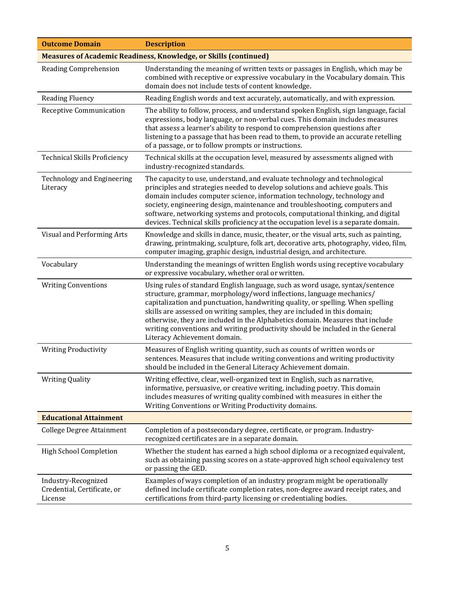| <b>Outcome Domain</b>                                                   | <b>Description</b>                                                                                                                                                                                                                                                                                                                                                                                                                                                                                                       |  |
|-------------------------------------------------------------------------|--------------------------------------------------------------------------------------------------------------------------------------------------------------------------------------------------------------------------------------------------------------------------------------------------------------------------------------------------------------------------------------------------------------------------------------------------------------------------------------------------------------------------|--|
| <b>Measures of Academic Readiness, Knowledge, or Skills (continued)</b> |                                                                                                                                                                                                                                                                                                                                                                                                                                                                                                                          |  |
| Reading Comprehension                                                   | Understanding the meaning of written texts or passages in English, which may be<br>combined with receptive or expressive vocabulary in the Vocabulary domain. This<br>domain does not include tests of content knowledge.                                                                                                                                                                                                                                                                                                |  |
| <b>Reading Fluency</b>                                                  | Reading English words and text accurately, automatically, and with expression.                                                                                                                                                                                                                                                                                                                                                                                                                                           |  |
| <b>Receptive Communication</b>                                          | The ability to follow, process, and understand spoken English, sign language, facial<br>expressions, body language, or non-verbal cues. This domain includes measures<br>that assess a learner's ability to respond to comprehension questions after<br>listening to a passage that has been read to them, to provide an accurate retelling<br>of a passage, or to follow prompts or instructions.                                                                                                                       |  |
| <b>Technical Skills Proficiency</b>                                     | Technical skills at the occupation level, measured by assessments aligned with<br>industry-recognized standards.                                                                                                                                                                                                                                                                                                                                                                                                         |  |
| <b>Technology and Engineering</b><br>Literacy                           | The capacity to use, understand, and evaluate technology and technological<br>principles and strategies needed to develop solutions and achieve goals. This<br>domain includes computer science, information technology, technology and<br>society, engineering design, maintenance and troubleshooting, computers and<br>software, networking systems and protocols, computational thinking, and digital<br>devices. Technical skills proficiency at the occupation level is a separate domain.                         |  |
| Visual and Performing Arts                                              | Knowledge and skills in dance, music, theater, or the visual arts, such as painting,<br>drawing, printmaking, sculpture, folk art, decorative arts, photography, video, film,<br>computer imaging, graphic design, industrial design, and architecture.                                                                                                                                                                                                                                                                  |  |
| Vocabulary                                                              | Understanding the meanings of written English words using receptive vocabulary<br>or expressive vocabulary, whether oral or written.                                                                                                                                                                                                                                                                                                                                                                                     |  |
| <b>Writing Conventions</b>                                              | Using rules of standard English language, such as word usage, syntax/sentence<br>structure, grammar, morphology/word inflections, language mechanics/<br>capitalization and punctuation, handwriting quality, or spelling. When spelling<br>skills are assessed on writing samples, they are included in this domain;<br>otherwise, they are included in the Alphabetics domain. Measures that include<br>writing conventions and writing productivity should be included in the General<br>Literacy Achievement domain. |  |
| <b>Writing Productivity</b>                                             | Measures of English writing quantity, such as counts of written words or<br>sentences. Measures that include writing conventions and writing productivity<br>should be included in the General Literacy Achievement domain.                                                                                                                                                                                                                                                                                              |  |
| <b>Writing Quality</b>                                                  | Writing effective, clear, well-organized text in English, such as narrative,<br>informative, persuasive, or creative writing, including poetry. This domain<br>includes measures of writing quality combined with measures in either the<br>Writing Conventions or Writing Productivity domains.                                                                                                                                                                                                                         |  |
| <b>Educational Attainment</b>                                           |                                                                                                                                                                                                                                                                                                                                                                                                                                                                                                                          |  |
| <b>College Degree Attainment</b>                                        | Completion of a postsecondary degree, certificate, or program. Industry-<br>recognized certificates are in a separate domain.                                                                                                                                                                                                                                                                                                                                                                                            |  |
| <b>High School Completion</b>                                           | Whether the student has earned a high school diploma or a recognized equivalent,<br>such as obtaining passing scores on a state-approved high school equivalency test<br>or passing the GED.                                                                                                                                                                                                                                                                                                                             |  |
| Industry-Recognized<br>Credential, Certificate, or<br>License           | Examples of ways completion of an industry program might be operationally<br>defined include certificate completion rates, non-degree award receipt rates, and<br>certifications from third-party licensing or credentialing bodies.                                                                                                                                                                                                                                                                                     |  |
|                                                                         |                                                                                                                                                                                                                                                                                                                                                                                                                                                                                                                          |  |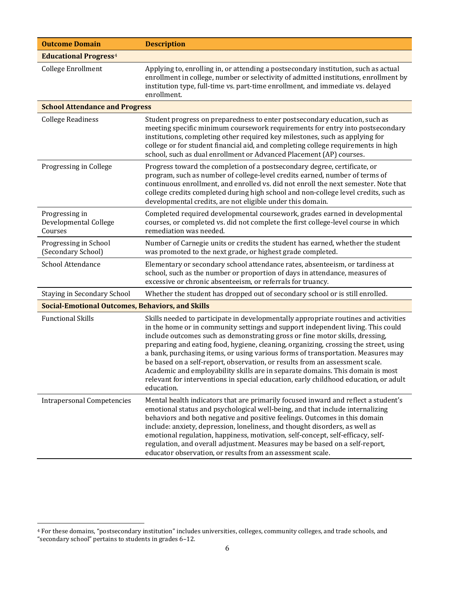| <b>Outcome Domain</b>                                   | <b>Description</b>                                                                                                                                                                                                                                                                                                                                                                                                                                                                                                                                                                                                                                                                                         |  |
|---------------------------------------------------------|------------------------------------------------------------------------------------------------------------------------------------------------------------------------------------------------------------------------------------------------------------------------------------------------------------------------------------------------------------------------------------------------------------------------------------------------------------------------------------------------------------------------------------------------------------------------------------------------------------------------------------------------------------------------------------------------------------|--|
| <b>Educational Progress<sup>4</sup></b>                 |                                                                                                                                                                                                                                                                                                                                                                                                                                                                                                                                                                                                                                                                                                            |  |
| <b>College Enrollment</b>                               | Applying to, enrolling in, or attending a postsecondary institution, such as actual<br>enrollment in college, number or selectivity of admitted institutions, enrollment by<br>institution type, full-time vs. part-time enrollment, and immediate vs. delayed<br>enrollment.                                                                                                                                                                                                                                                                                                                                                                                                                              |  |
| <b>School Attendance and Progress</b>                   |                                                                                                                                                                                                                                                                                                                                                                                                                                                                                                                                                                                                                                                                                                            |  |
| <b>College Readiness</b>                                | Student progress on preparedness to enter postsecondary education, such as<br>meeting specific minimum coursework requirements for entry into postsecondary<br>institutions, completing other required key milestones, such as applying for<br>college or for student financial aid, and completing college requirements in high<br>school, such as dual enrollment or Advanced Placement (AP) courses.                                                                                                                                                                                                                                                                                                    |  |
| Progressing in College                                  | Progress toward the completion of a postsecondary degree, certificate, or<br>program, such as number of college-level credits earned, number of terms of<br>continuous enrollment, and enrolled vs. did not enroll the next semester. Note that<br>college credits completed during high school and non-college level credits, such as<br>developmental credits, are not eligible under this domain.                                                                                                                                                                                                                                                                                                       |  |
| Progressing in<br>Developmental College<br>Courses      | Completed required developmental coursework, grades earned in developmental<br>courses, or completed vs. did not complete the first college-level course in which<br>remediation was needed.                                                                                                                                                                                                                                                                                                                                                                                                                                                                                                               |  |
| Progressing in School<br>(Secondary School)             | Number of Carnegie units or credits the student has earned, whether the student<br>was promoted to the next grade, or highest grade completed.                                                                                                                                                                                                                                                                                                                                                                                                                                                                                                                                                             |  |
| School Attendance                                       | Elementary or secondary school attendance rates, absenteeism, or tardiness at<br>school, such as the number or proportion of days in attendance, measures of<br>excessive or chronic absenteeism, or referrals for truancy.                                                                                                                                                                                                                                                                                                                                                                                                                                                                                |  |
| Staying in Secondary School                             | Whether the student has dropped out of secondary school or is still enrolled.                                                                                                                                                                                                                                                                                                                                                                                                                                                                                                                                                                                                                              |  |
| <b>Social-Emotional Outcomes, Behaviors, and Skills</b> |                                                                                                                                                                                                                                                                                                                                                                                                                                                                                                                                                                                                                                                                                                            |  |
| <b>Functional Skills</b>                                | Skills needed to participate in developmentally appropriate routines and activities<br>in the home or in community settings and support independent living. This could<br>include outcomes such as demonstrating gross or fine motor skills, dressing,<br>preparing and eating food, hygiene, cleaning, organizing, crossing the street, using<br>a bank, purchasing items, or using various forms of transportation. Measures may<br>be based on a self-report, observation, or results from an assessment scale.<br>Academic and employability skills are in separate domains. This domain is most<br>relevant for interventions in special education, early childhood education, or adult<br>education. |  |
| <b>Intrapersonal Competencies</b>                       | Mental health indicators that are primarily focused inward and reflect a student's<br>emotional status and psychological well-being, and that include internalizing<br>behaviors and both negative and positive feelings. Outcomes in this domain<br>include: anxiety, depression, loneliness, and thought disorders, as well as<br>emotional regulation, happiness, motivation, self-concept, self-efficacy, self-<br>regulation, and overall adjustment. Measures may be based on a self-report,<br>educator observation, or results from an assessment scale.                                                                                                                                           |  |

<span id="page-5-0"></span><sup>4</sup> For these domains, "postsecondary institution" includes universities, colleges, community colleges, and trade schools, and "secondary school" pertains to students in grades 6–12.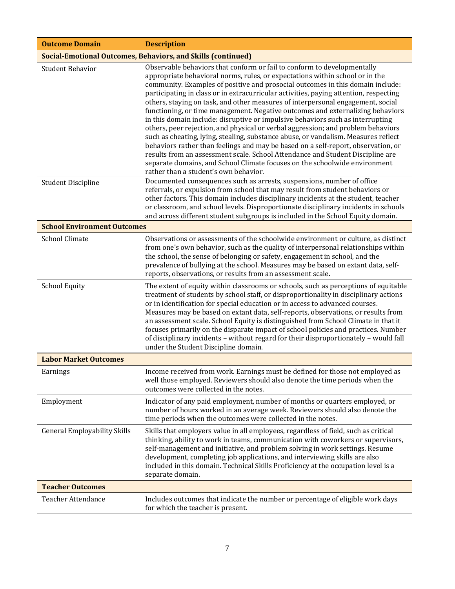| <b>Outcome Domain</b>                                               | <b>Description</b>                                                                                                                                                                                                                                                                                                                                                                                                                                                                                                                                                                                                                                                                                                                                                                                                                                                                                                                                                                                                                                                |  |  |
|---------------------------------------------------------------------|-------------------------------------------------------------------------------------------------------------------------------------------------------------------------------------------------------------------------------------------------------------------------------------------------------------------------------------------------------------------------------------------------------------------------------------------------------------------------------------------------------------------------------------------------------------------------------------------------------------------------------------------------------------------------------------------------------------------------------------------------------------------------------------------------------------------------------------------------------------------------------------------------------------------------------------------------------------------------------------------------------------------------------------------------------------------|--|--|
| <b>Social-Emotional Outcomes, Behaviors, and Skills (continued)</b> |                                                                                                                                                                                                                                                                                                                                                                                                                                                                                                                                                                                                                                                                                                                                                                                                                                                                                                                                                                                                                                                                   |  |  |
| <b>Student Behavior</b>                                             | Observable behaviors that conform or fail to conform to developmentally<br>appropriate behavioral norms, rules, or expectations within school or in the<br>community. Examples of positive and prosocial outcomes in this domain include:<br>participating in class or in extracurricular activities, paying attention, respecting<br>others, staying on task, and other measures of interpersonal engagement, social<br>functioning, or time management. Negative outcomes and externalizing behaviors<br>in this domain include: disruptive or impulsive behaviors such as interrupting<br>others, peer rejection, and physical or verbal aggression; and problem behaviors<br>such as cheating, lying, stealing, substance abuse, or vandalism. Measures reflect<br>behaviors rather than feelings and may be based on a self-report, observation, or<br>results from an assessment scale. School Attendance and Student Discipline are<br>separate domains, and School Climate focuses on the schoolwide environment<br>rather than a student's own behavior. |  |  |
| <b>Student Discipline</b>                                           | Documented consequences such as arrests, suspensions, number of office<br>referrals, or expulsion from school that may result from student behaviors or<br>other factors. This domain includes disciplinary incidents at the student, teacher<br>or classroom, and school levels. Disproportionate disciplinary incidents in schools<br>and across different student subgroups is included in the School Equity domain.                                                                                                                                                                                                                                                                                                                                                                                                                                                                                                                                                                                                                                           |  |  |
| <b>School Environment Outcomes</b>                                  |                                                                                                                                                                                                                                                                                                                                                                                                                                                                                                                                                                                                                                                                                                                                                                                                                                                                                                                                                                                                                                                                   |  |  |
| <b>School Climate</b>                                               | Observations or assessments of the schoolwide environment or culture, as distinct<br>from one's own behavior, such as the quality of interpersonal relationships within<br>the school, the sense of belonging or safety, engagement in school, and the<br>prevalence of bullying at the school. Measures may be based on extant data, self-<br>reports, observations, or results from an assessment scale.                                                                                                                                                                                                                                                                                                                                                                                                                                                                                                                                                                                                                                                        |  |  |
| <b>School Equity</b>                                                | The extent of equity within classrooms or schools, such as perceptions of equitable<br>treatment of students by school staff, or disproportionality in disciplinary actions<br>or in identification for special education or in access to advanced courses.<br>Measures may be based on extant data, self-reports, observations, or results from<br>an assessment scale. School Equity is distinguished from School Climate in that it<br>focuses primarily on the disparate impact of school policies and practices. Number<br>of disciplinary incidents - without regard for their disproportionately - would fall<br>under the Student Discipline domain.                                                                                                                                                                                                                                                                                                                                                                                                      |  |  |
| <b>Labor Market Outcomes</b>                                        |                                                                                                                                                                                                                                                                                                                                                                                                                                                                                                                                                                                                                                                                                                                                                                                                                                                                                                                                                                                                                                                                   |  |  |
| Earnings                                                            | Income received from work. Earnings must be defined for those not employed as<br>well those employed. Reviewers should also denote the time periods when the<br>outcomes were collected in the notes.                                                                                                                                                                                                                                                                                                                                                                                                                                                                                                                                                                                                                                                                                                                                                                                                                                                             |  |  |
| Employment                                                          | Indicator of any paid employment, number of months or quarters employed, or<br>number of hours worked in an average week. Reviewers should also denote the<br>time periods when the outcomes were collected in the notes.                                                                                                                                                                                                                                                                                                                                                                                                                                                                                                                                                                                                                                                                                                                                                                                                                                         |  |  |
| <b>General Employability Skills</b>                                 | Skills that employers value in all employees, regardless of field, such as critical<br>thinking, ability to work in teams, communication with coworkers or supervisors,<br>self-management and initiative, and problem solving in work settings. Resume<br>development, completing job applications, and interviewing skills are also<br>included in this domain. Technical Skills Proficiency at the occupation level is a<br>separate domain.                                                                                                                                                                                                                                                                                                                                                                                                                                                                                                                                                                                                                   |  |  |
| <b>Teacher Outcomes</b>                                             |                                                                                                                                                                                                                                                                                                                                                                                                                                                                                                                                                                                                                                                                                                                                                                                                                                                                                                                                                                                                                                                                   |  |  |
| <b>Teacher Attendance</b>                                           | Includes outcomes that indicate the number or percentage of eligible work days<br>for which the teacher is present.                                                                                                                                                                                                                                                                                                                                                                                                                                                                                                                                                                                                                                                                                                                                                                                                                                                                                                                                               |  |  |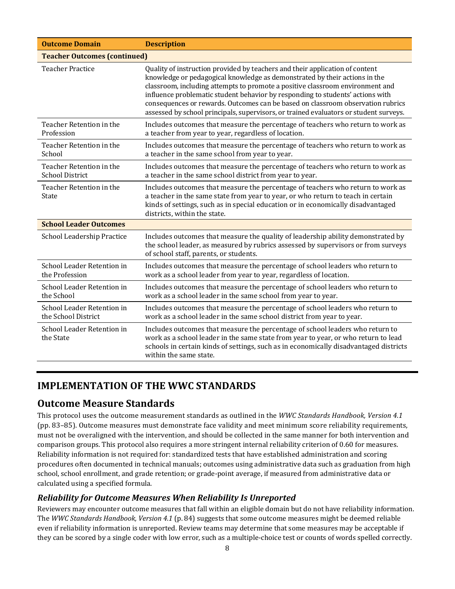| <b>Outcome Domain</b>                              | <b>Description</b>                                                                                                                                                                                                                                                                                                                                                                                                                                                                                        |
|----------------------------------------------------|-----------------------------------------------------------------------------------------------------------------------------------------------------------------------------------------------------------------------------------------------------------------------------------------------------------------------------------------------------------------------------------------------------------------------------------------------------------------------------------------------------------|
| <b>Teacher Outcomes (continued)</b>                |                                                                                                                                                                                                                                                                                                                                                                                                                                                                                                           |
| <b>Teacher Practice</b>                            | Quality of instruction provided by teachers and their application of content<br>knowledge or pedagogical knowledge as demonstrated by their actions in the<br>classroom, including attempts to promote a positive classroom environment and<br>influence problematic student behavior by responding to students' actions with<br>consequences or rewards. Outcomes can be based on classroom observation rubrics<br>assessed by school principals, supervisors, or trained evaluators or student surveys. |
| Teacher Retention in the<br>Profession             | Includes outcomes that measure the percentage of teachers who return to work as<br>a teacher from year to year, regardless of location.                                                                                                                                                                                                                                                                                                                                                                   |
| Teacher Retention in the<br>School                 | Includes outcomes that measure the percentage of teachers who return to work as<br>a teacher in the same school from year to year.                                                                                                                                                                                                                                                                                                                                                                        |
| Teacher Retention in the<br><b>School District</b> | Includes outcomes that measure the percentage of teachers who return to work as<br>a teacher in the same school district from year to year.                                                                                                                                                                                                                                                                                                                                                               |
| Teacher Retention in the<br>State                  | Includes outcomes that measure the percentage of teachers who return to work as<br>a teacher in the same state from year to year, or who return to teach in certain<br>kinds of settings, such as in special education or in economically disadvantaged<br>districts, within the state.                                                                                                                                                                                                                   |
| <b>School Leader Outcomes</b>                      |                                                                                                                                                                                                                                                                                                                                                                                                                                                                                                           |
| School Leadership Practice                         | Includes outcomes that measure the quality of leadership ability demonstrated by<br>the school leader, as measured by rubrics assessed by supervisors or from surveys<br>of school staff, parents, or students.                                                                                                                                                                                                                                                                                           |
| School Leader Retention in<br>the Profession       | Includes outcomes that measure the percentage of school leaders who return to<br>work as a school leader from year to year, regardless of location.                                                                                                                                                                                                                                                                                                                                                       |
| School Leader Retention in<br>the School           | Includes outcomes that measure the percentage of school leaders who return to<br>work as a school leader in the same school from year to year.                                                                                                                                                                                                                                                                                                                                                            |
| School Leader Retention in<br>the School District  | Includes outcomes that measure the percentage of school leaders who return to<br>work as a school leader in the same school district from year to year.                                                                                                                                                                                                                                                                                                                                                   |
| School Leader Retention in<br>the State            | Includes outcomes that measure the percentage of school leaders who return to<br>work as a school leader in the same state from year to year, or who return to lead<br>schools in certain kinds of settings, such as in economically disadvantaged districts<br>within the same state.                                                                                                                                                                                                                    |

### **IMPLEMENTATION OF THE WWC STANDARDS**

### **Outcome Measure Standards**

This protocol uses the outcome measurement standards as outlined in the *WWC Standards Handbook, Version 4.1* (pp. 83–85). Outcome measures must demonstrate face validity and meet minimum score reliability requirements, must not be overaligned with the intervention, and should be collected in the same manner for both intervention and comparison groups. This protocol also requires a more stringent internal reliability criterion of 0.60 for measures. Reliability information is not required for: standardized tests that have established administration and scoring procedures often documented in technical manuals; outcomes using administrative data such as graduation from high school, school enrollment, and grade retention; or grade-point average, if measured from administrative data or calculated using a specified formula.

### *Reliability for Outcome Measures When Reliability Is Unreported*

Reviewers may encounter outcome measures that fall within an eligible domain but do not have reliability information. The *WWC Standards Handbook, Version 4.1* (p. 84) suggests that some outcome measures might be deemed reliable even if reliability information is unreported. Review teams may determine that some measures may be acceptable if they can be scored by a single coder with low error, such as a multiple-choice test or counts of words spelled correctly.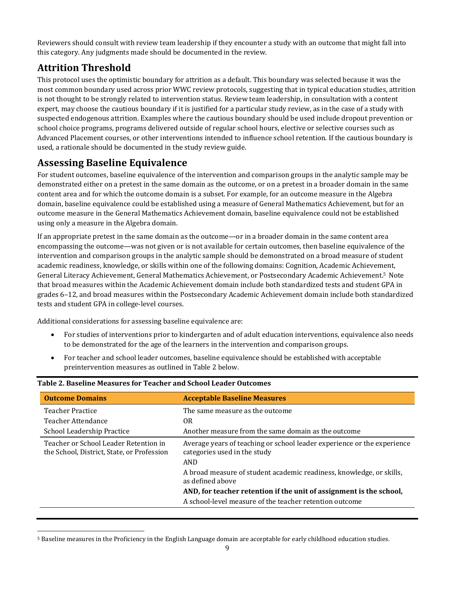Reviewers should consult with review team leadership if they encounter a study with an outcome that might fall into this category. Any judgments made should be documented in the review.

# **Attrition Threshold**

This protocol uses the optimistic boundary for attrition as a default. This boundary was selected because it was the most common boundary used across prior WWC review protocols, suggesting that in typical education studies, attrition is not thought to be strongly related to intervention status. Review team leadership, in consultation with a content expert, may choose the cautious boundary if it is justified for a particular study review, as in the case of a study with suspected endogenous attrition. Examples where the cautious boundary should be used include dropout prevention or school choice programs, programs delivered outside of regular school hours, elective or selective courses such as Advanced Placement courses, or other interventions intended to influence school retention. If the cautious boundary is used, a rationale should be documented in the study review guide.

# **Assessing Baseline Equivalence**

For student outcomes, baseline equivalence of the intervention and comparison groups in the analytic sample may be demonstrated either on a pretest in the same domain as the outcome, or on a pretest in a broader domain in the same content area and for which the outcome domain is a subset. For example, for an outcome measure in the Algebra domain, baseline equivalence could be established using a measure of General Mathematics Achievement, but for an outcome measure in the General Mathematics Achievement domain, baseline equivalence could not be established using only a measure in the Algebra domain.

If an appropriate pretest in the same domain as the outcome—or in a broader domain in the same content area encompassing the outcome—was not given or is not available for certain outcomes, then baseline equivalence of the intervention and comparison groups in the analytic sample should be demonstrated on a broad measure of student academic readiness, knowledge, or skills within one of the following domains: Cognition, Academic Achievement, General Literacy Achievement, General Mathematics Achievement, or Postsecondary Academic Achievement. [5](#page-8-0) Note that broad measures within the Academic Achievement domain include both standardized tests and student GPA in grades 6–12, and broad measures within the Postsecondary Academic Achievement domain include both standardized tests and student GPA in college-level courses.

Additional considerations for assessing baseline equivalence are:

- For studies of interventions prior to kindergarten and of adult education interventions, equivalence also needs to be demonstrated for the age of the learners in the intervention and comparison groups.
- For teacher and school leader outcomes, baseline equivalence should be established with acceptable preintervention measures as outlined in Table 2 below.

| <b>Outcome Domains</b>                                                              | <b>Acceptable Baseline Measures</b>                                                                            |
|-------------------------------------------------------------------------------------|----------------------------------------------------------------------------------------------------------------|
| <b>Teacher Practice</b>                                                             | The same measure as the outcome                                                                                |
| Teacher Attendance                                                                  | 0R                                                                                                             |
| School Leadership Practice                                                          | Another measure from the same domain as the outcome                                                            |
| Teacher or School Leader Retention in<br>the School, District, State, or Profession | Average years of teaching or school leader experience or the experience<br>categories used in the study<br>AND |
|                                                                                     | A broad measure of student academic readiness, knowledge, or skills,<br>as defined above                       |
|                                                                                     | AND, for teacher retention if the unit of assignment is the school,                                            |
|                                                                                     | A school-level measure of the teacher retention outcome                                                        |

#### **Table 2. Baseline Measures for Teacher and School Leader Outcomes**

<span id="page-8-0"></span><sup>5</sup> Baseline measures in the Proficiency in the English Language domain are acceptable for early childhood education studies.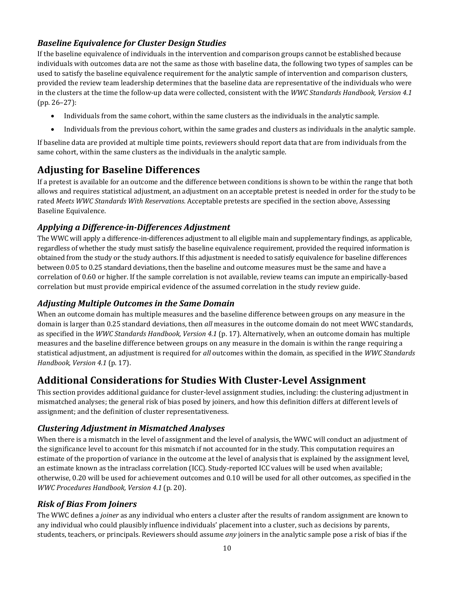#### *Baseline Equivalence for Cluster Design Studies*

If the baseline equivalence of individuals in the intervention and comparison groups cannot be established because individuals with outcomes data are not the same as those with baseline data, the following two types of samples can be used to satisfy the baseline equivalence requirement for the analytic sample of intervention and comparison clusters, provided the review team leadership determines that the baseline data are representative of the individuals who were in the clusters at the time the follow-up data were collected, consistent with the *WWC Standards Handbook, Version 4.1* (pp. 26–27):

- Individuals from the same cohort, within the same clusters as the individuals in the analytic sample.
- Individuals from the previous cohort, within the same grades and clusters as individuals in the analytic sample.

If baseline data are provided at multiple time points, reviewers should report data that are from individuals from the same cohort, within the same clusters as the individuals in the analytic sample.

### **Adjusting for Baseline Differences**

If a pretest is available for an outcome and the difference between conditions is shown to be within the range that both allows and requires statistical adjustment, an adjustment on an acceptable pretest is needed in order for the study to be rated *Meets WWC Standards With Reservations.* Acceptable pretests are specified in the section above, Assessing Baseline Equivalence.

#### *Applying a Difference-in-Differences Adjustment*

The WWC will apply a difference-in-differences adjustment to all eligible main and supplementary findings, as applicable, regardless of whether the study must satisfy the baseline equivalence requirement, provided the required information is obtained from the study or the study authors. If this adjustment is needed to satisfy equivalence for baseline differences between 0.05 to 0.25 standard deviations, then the baseline and outcome measures must be the same and have a correlation of 0.60 or higher. If the sample correlation is not available, review teams can impute an empirically-based correlation but must provide empirical evidence of the assumed correlation in the study review guide.

#### *Adjusting Multiple Outcomes in the Same Domain*

When an outcome domain has multiple measures and the baseline difference between groups on any measure in the domain is larger than 0.25 standard deviations, then *all* measures in the outcome domain do not meet WWC standards, as specified in the *WWC Standards Handbook, Version 4.1* (p. 17). Alternatively, when an outcome domain has multiple measures and the baseline difference between groups on any measure in the domain is within the range requiring a statistical adjustment, an adjustment is required for *all* outcomes within the domain, as specified in the *WWC Standards Handbook, Version 4.1* (p. 17).

### **Additional Considerations for Studies With Cluster-Level Assignment**

This section provides additional guidance for cluster-level assignment studies, including: the clustering adjustment in mismatched analyses; the general risk of bias posed by joiners, and how this definition differs at different levels of assignment; and the definition of cluster representativeness.

#### *Clustering Adjustment in Mismatched Analyses*

When there is a mismatch in the level of assignment and the level of analysis, the WWC will conduct an adjustment of the significance level to account for this mismatch if not accounted for in the study. This computation requires an estimate of the proportion of variance in the outcome at the level of analysis that is explained by the assignment level, an estimate known as the intraclass correlation (ICC). Study-reported ICC values will be used when available; otherwise, 0.20 will be used for achievement outcomes and 0.10 will be used for all other outcomes, as specified in the *WWC Procedures Handbook, Version 4.1* (p. 20).

#### *Risk of Bias From Joiners*

The WWC defines a *joiner* as any individual who enters a cluster after the results of random assignment are known to any individual who could plausibly influence individuals' placement into a cluster, such as decisions by parents, students, teachers, or principals. Reviewers should assume *any* joiners in the analytic sample pose a risk of bias if the